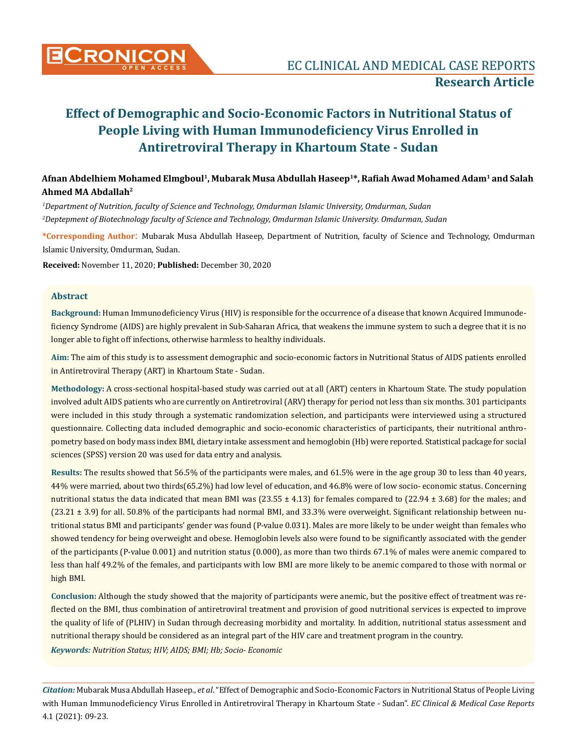

# **Effect of Demographic and Socio-Economic Factors in Nutritional Status of People Living with Human Immunodeficiency Virus Enrolled in Antiretroviral Therapy in Khartoum State - Sudan**

# **Afnan Abdelhiem Mohamed Elmgboul1, Mubarak Musa Abdullah Haseep1\*, Rafiah Awad Mohamed Adam1 and Salah Ahmed MA Abdallah2**

*1 Department of Nutrition, faculty of Science and Technology, Omdurman Islamic University, Omdurman, Sudan 2 Deptepment of Biotechnology faculty of Science and Technology, Omdurman Islamic University. Omdurman, Sudan*

**\*Corresponding Author**: Mubarak Musa Abdullah Haseep, Department of Nutrition, faculty of Science and Technology, Omdurman Islamic University, Omdurman, Sudan.

**Received:** November 11, 2020; **Published:** December 30, 2020

#### **Abstract**

**Background:** Human Immunodeficiency Virus (HIV) is responsible for the occurrence of a disease that known Acquired Immunodeficiency Syndrome (AIDS) are highly prevalent in Sub-Saharan Africa, that weakens the immune system to such a degree that it is no longer able to fight off infections, otherwise harmless to healthy individuals.

**Aim:** The aim of this study is to assessment demographic and socio-economic factors in Nutritional Status of AIDS patients enrolled in Antiretroviral Therapy (ART) in Khartoum State - Sudan.

**Methodology:** A cross-sectional hospital-based study was carried out at all (ART) centers in Khartoum State. The study population involved adult AIDS patients who are currently on Antiretroviral (ARV) therapy for period not less than six months. 301 participants were included in this study through a systematic randomization selection, and participants were interviewed using a structured questionnaire. Collecting data included demographic and socio-economic characteristics of participants, their nutritional anthropometry based on body mass index BMI, dietary intake assessment and hemoglobin (Hb) were reported. Statistical package for social sciences (SPSS) version 20 was used for data entry and analysis.

**Results:** The results showed that 56.5% of the participants were males, and 61.5% were in the age group 30 to less than 40 years, 44% were married, about two thirds(65.2%) had low level of education, and 46.8% were of low socio- economic status. Concerning nutritional status the data indicated that mean BMI was  $(23.55 \pm 4.13)$  for females compared to  $(22.94 \pm 3.68)$  for the males; and (23.21 ± 3.9) for all. 50.8% of the participants had normal BMI, and 33.3% were overweight. Significant relationship between nutritional status BMI and participants' gender was found (P-value 0.031). Males are more likely to be under weight than females who showed tendency for being overweight and obese. Hemoglobin levels also were found to be significantly associated with the gender of the participants (P-value 0.001) and nutrition status (0.000), as more than two thirds 67.1% of males were anemic compared to less than half 49.2% of the females, and participants with low BMI are more likely to be anemic compared to those with normal or high BMI.

**Conclusion:** Although the study showed that the majority of participants were anemic, but the positive effect of treatment was reflected on the BMI, thus combination of antiretroviral treatment and provision of good nutritional services is expected to improve the quality of life of (PLHIV) in Sudan through decreasing morbidity and mortality. In addition, nutritional status assessment and nutritional therapy should be considered as an integral part of the HIV care and treatment program in the country.

*Keywords: Nutrition Status; HIV; AIDS; BMI; Hb; Socio- Economic*

*Citation:* Mubarak Musa Abdullah Haseep., *et al*. "Effect of Demographic and Socio-Economic Factors in Nutritional Status of People Living with Human Immunodeficiency Virus Enrolled in Antiretroviral Therapy in Khartoum State - Sudan". *EC Clinical & Medical Case Reports*  4.1 (2021): 09-23.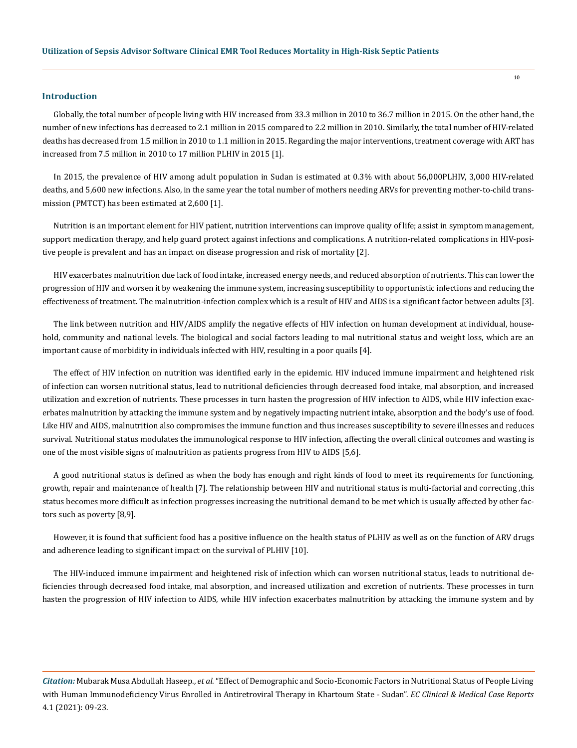#### **Introduction**

Globally, the total number of people living with HIV increased from 33.3 million in 2010 to 36.7 million in 2015. On the other hand, the number of new infections has decreased to 2.1 million in 2015 compared to 2.2 million in 2010. Similarly, the total number of HIV-related deaths has decreased from 1.5 million in 2010 to 1.1 million in 2015. Regarding the major interventions, treatment coverage with ART has increased from 7.5 million in 2010 to 17 million PLHIV in 2015 [1].

In 2015, the prevalence of HIV among adult population in Sudan is estimated at 0.3% with about 56,000PLHIV, 3,000 HIV-related deaths, and 5,600 new infections. Also, in the same year the total number of mothers needing ARVs for preventing mother-to-child transmission (PMTCT) has been estimated at 2,600 [1].

Nutrition is an important element for HIV patient, nutrition interventions can improve quality of life; assist in symptom management, support medication therapy, and help guard protect against infections and complications. A nutrition-related complications in HIV-positive people is prevalent and has an impact on disease progression and risk of mortality [2].

HIV exacerbates malnutrition due lack of food intake, increased energy needs, and reduced absorption of nutrients. This can lower the progression of HIV and worsen it by weakening the immune system, increasing susceptibility to opportunistic infections and reducing the effectiveness of treatment. The malnutrition-infection complex which is a result of HIV and AIDS is a significant factor between adults [3].

The link between nutrition and HIV/AIDS amplify the negative effects of HIV infection on human development at individual, household, community and national levels. The biological and social factors leading to mal nutritional status and weight loss, which are an important cause of morbidity in individuals infected with HIV, resulting in a poor quails [4].

The effect of HIV infection on nutrition was identified early in the epidemic. HIV induced immune impairment and heightened risk of infection can worsen nutritional status, lead to nutritional deficiencies through decreased food intake, mal absorption, and increased utilization and excretion of nutrients. These processes in turn hasten the progression of HIV infection to AIDS, while HIV infection exacerbates malnutrition by attacking the immune system and by negatively impacting nutrient intake, absorption and the body's use of food. Like HIV and AIDS, malnutrition also compromises the immune function and thus increases susceptibility to severe illnesses and reduces survival. Nutritional status modulates the immunological response to HIV infection, affecting the overall clinical outcomes and wasting is one of the most visible signs of malnutrition as patients progress from HIV to AIDS [5,6].

A good nutritional status is defined as when the body has enough and right kinds of food to meet its requirements for functioning, growth, repair and maintenance of health [7]. The relationship between HIV and nutritional status is multi-factorial and correcting ,this status becomes more difficult as infection progresses increasing the nutritional demand to be met which is usually affected by other factors such as poverty [8,9].

However, it is found that sufficient food has a positive influence on the health status of PLHIV as well as on the function of ARV drugs and adherence leading to significant impact on the survival of PLHIV [10].

The HIV-induced immune impairment and heightened risk of infection which can worsen nutritional status, leads to nutritional deficiencies through decreased food intake, mal absorption, and increased utilization and excretion of nutrients. These processes in turn hasten the progression of HIV infection to AIDS, while HIV infection exacerbates malnutrition by attacking the immune system and by

*Citation:* Mubarak Musa Abdullah Haseep., *et al*. "Effect of Demographic and Socio-Economic Factors in Nutritional Status of People Living with Human Immunodeficiency Virus Enrolled in Antiretroviral Therapy in Khartoum State - Sudan". *EC Clinical & Medical Case Reports*  4.1 (2021): 09-23.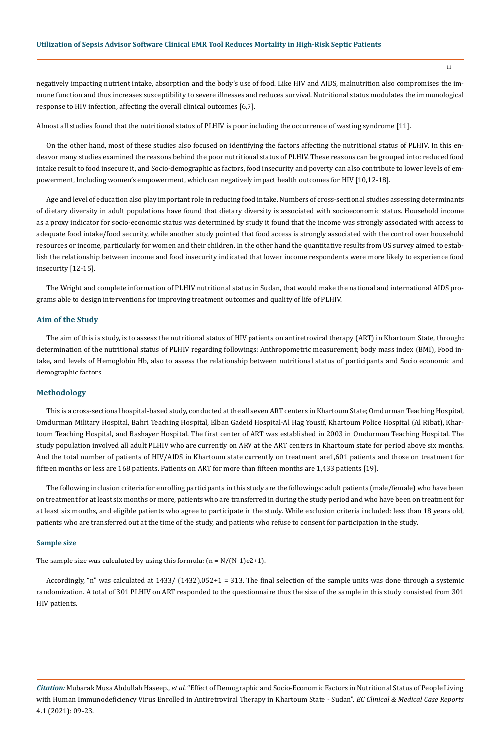negatively impacting nutrient intake, absorption and the body's use of food. Like HIV and AIDS, malnutrition also compromises the immune function and thus increases susceptibility to severe illnesses and reduces survival. Nutritional status modulates the immunological response to HIV infection, affecting the overall clinical outcomes [6,7].

Almost all studies found that the nutritional status of PLHIV is poor including the occurrence of wasting syndrome [11].

On the other hand, most of these studies also focused on identifying the factors affecting the nutritional status of PLHIV. In this endeavor many studies examined the reasons behind the poor nutritional status of PLHIV. These reasons can be grouped into: reduced food intake result to food insecure it, and Socio-demographic as factors, food insecurity and poverty can also contribute to lower levels of empowerment, Including women's empowerment, which can negatively impact health outcomes for HIV [10,12-18].

Age and level of education also play important role in reducing food intake. Numbers of cross-sectional studies assessing determinants of dietary diversity in adult populations have found that dietary diversity is associated with socioeconomic status. Household income as a proxy indicator for socio-economic status was determined by study it found that the income was strongly associated with access to adequate food intake/food security, while another study pointed that food access is strongly associated with the control over household resources or income, particularly for women and their children. In the other hand the quantitative results from US survey aimed to establish the relationship between income and food insecurity indicated that lower income respondents were more likely to experience food insecurity [12-15].

The Wright and complete information of PLHIV nutritional status in Sudan, that would make the national and international AIDS programs able to design interventions for improving treatment outcomes and quality of life of PLHIV.

#### **Aim of the Study**

The aim of this is study, is to assess the nutritional status of HIV patients on antiretroviral therapy (ART) in Khartoum State, through**:**  determination of the nutritional status of PLHIV regarding followings: Anthropometric measurement; body mass index (BMI), Food intake*,* and levels of Hemoglobin Hb, also to assess the relationship between nutritional status of participants and Socio economic and demographic factors.

#### **Methodology**

This is a cross-sectional hospital-based study, conducted at the all seven ART centers in Khartoum State; Omdurman Teaching Hospital, Omdurman Military Hospital, Bahri Teaching Hospital, Elban Gadeid Hospital-Al Hag Yousif, Khartoum Police Hospital (Al Ribat), Khartoum Teaching Hospital, and Bashayer Hospital. The first center of ART was established in 2003 in Omdurman Teaching Hospital. The study population involved all adult PLHIV who are currently on ARV at the ART centers in Khartoum state for period above six months. And the total number of patients of HIV/AIDS in Khartoum state currently on treatment are1,601 patients and those on treatment for fifteen months or less are 168 patients. Patients on ART for more than fifteen months are 1,433 patients [19].

The following inclusion criteria for enrolling participants in this study are the followings: adult patients (male/female) who have been on treatment for at least six months or more, patients who are transferred in during the study period and who have been on treatment for at least six months, and eligible patients who agree to participate in the study. While exclusion criteria included: less than 18 years old, patients who are transferred out at the time of the study, and patients who refuse to consent for participation in the study.

#### **Sample size**

The sample size was calculated by using this formula:  $(n = N/(N-1)e^{2} + 1)$ .

Accordingly, "n" was calculated at 1433/ (1432).052+1 = 313. The final selection of the sample units was done through a systemic randomization. A total of 301 PLHIV on ART responded to the questionnaire thus the size of the sample in this study consisted from 301 HIV patients.

*Citation:* Mubarak Musa Abdullah Haseep., *et al*. "Effect of Demographic and Socio-Economic Factors in Nutritional Status of People Living with Human Immunodeficiency Virus Enrolled in Antiretroviral Therapy in Khartoum State - Sudan". *EC Clinical & Medical Case Reports*  4.1 (2021): 09-23.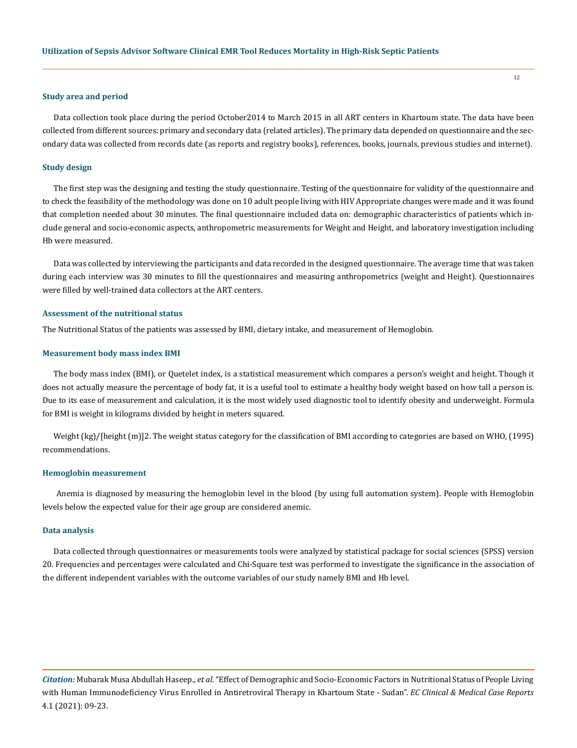#### **Study area and period**

Data collection took place during the period October2014 to March 2015 in all ART centers in Khartoum state. The data have been collected from different sources: primary and secondary data (related articles). The primary data depended on questionnaire and the secondary data was collected from records date (as reports and registry books), references, books, journals, previous studies and internet).

#### **Study design**

The first step was the designing and testing the study questionnaire. Testing of the questionnaire for validity of the questionnaire and to check the feasibility of the methodology was done on 10 adult people living with HIV Appropriate changes were made and it was found that completion needed about 30 minutes. The final questionnaire included data on: demographic characteristics of patients which include general and socio-economic aspects, anthropometric measurements for Weight and Height, and laboratory investigation including Hb were measured.

Data was collected by interviewing the participants and data recorded in the designed questionnaire. The average time that was taken during each interview was 30 minutes to fill the questionnaires and measuring anthropometrics (weight and Height). Questionnaires were filled by well-trained data collectors at the ART centers.

#### **Assessment of the nutritional status**

The Nutritional Status of the patients was assessed by BMI, dietary intake, and measurement of Hemoglobin.

#### **Measurement body mass index BMI**

The body mass index (BMI), or Quetelet index, is a statistical measurement which compares a person's weight and height. Though it does not actually measure the percentage of body fat, it is a useful tool to estimate a healthy body weight based on how tall a person is. Due to its ease of measurement and calculation, it is the most widely used diagnostic tool to identify obesity and underweight. Formula for BMI is weight in kilograms divided by height in meters squared.

Weight (kg)/[height (m)]2. The weight status category for the classification of BMI according to categories are based on WHO, (1995) recommendations.

#### **Hemoglobin measurement**

Anemia is diagnosed by measuring the hemoglobin level in the blood (by using full automation system). People with Hemoglobin levels below the expected value for their age group are considered anemic.

#### **Data analysis**

Data collected through questionnaires or measurements tools were analyzed by statistical package for social sciences (SPSS) version 20. Frequencies and percentages were calculated and Chi-Square test was performed to investigate the significance in the association of the different independent variables with the outcome variables of our study namely BMI and Hb level.

*Citation:* Mubarak Musa Abdullah Haseep., *et al*. "Effect of Demographic and Socio-Economic Factors in Nutritional Status of People Living with Human Immunodeficiency Virus Enrolled in Antiretroviral Therapy in Khartoum State - Sudan". *EC Clinical & Medical Case Reports*  4.1 (2021): 09-23.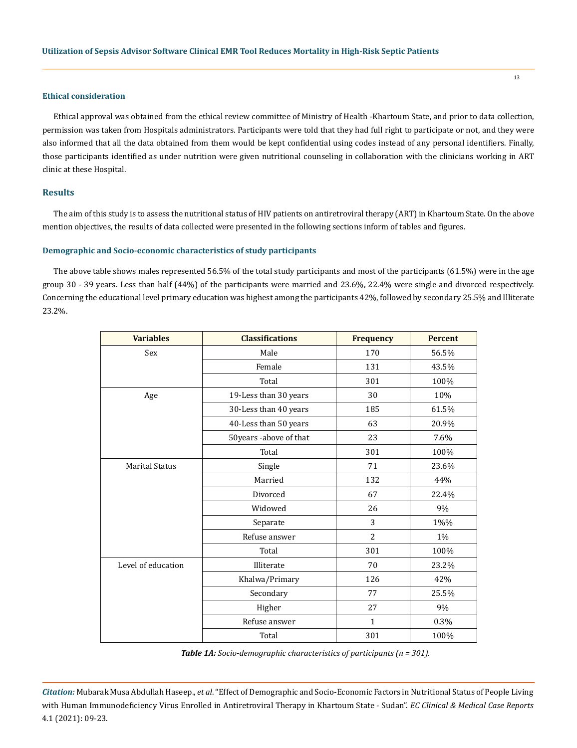#### **Ethical consideration**

Ethical approval was obtained from the ethical review committee of Ministry of Health -Khartoum State, and prior to data collection, permission was taken from Hospitals administrators. Participants were told that they had full right to participate or not, and they were also informed that all the data obtained from them would be kept confidential using codes instead of any personal identifiers. Finally, those participants identified as under nutrition were given nutritional counseling in collaboration with the clinicians working in ART clinic at these Hospital.

#### **Results**

The aim of this study is to assess the nutritional status of HIV patients on antiretroviral therapy (ART) in Khartoum State. On the above mention objectives, the results of data collected were presented in the following sections inform of tables and figures.

#### **Demographic and Socio-economic characteristics of study participants**

The above table shows males represented 56.5% of the total study participants and most of the participants (61.5%) were in the age group 30 - 39 years. Less than half (44%) of the participants were married and 23.6%, 22.4% were single and divorced respectively. Concerning the educational level primary education was highest among the participants 42%, followed by secondary 25.5% and Illiterate 23.2%.

| <b>Variables</b>      | <b>Classifications</b>      | <b>Frequency</b> | <b>Percent</b> |
|-----------------------|-----------------------------|------------------|----------------|
| Sex                   | Male                        | 170              | 56.5%          |
|                       | Female                      | 131              | 43.5%          |
|                       | Total                       | 301              | 100%           |
| Age                   | 19-Less than 30 years<br>30 |                  | 10%            |
|                       | 30-Less than 40 years       | 185              | 61.5%          |
|                       | 40-Less than 50 years       | 63               | 20.9%          |
|                       | 50years -above of that      | 23               | 7.6%           |
|                       | Total                       | 301              | 100%           |
| <b>Marital Status</b> | Single                      | 71               | 23.6%          |
|                       | Married                     | 132              | 44%            |
|                       | Divorced                    | 67               | 22.4%          |
|                       | Widowed                     | 26               | 9%             |
|                       | Separate                    | 3                | 1%%            |
|                       | Refuse answer               | 2                | 1%             |
|                       | Total                       | 301              | 100%           |
| Level of education    | Illiterate                  | 70               | 23.2%          |
|                       | Khalwa/Primary              | 126              | 42%            |
|                       | Secondary                   | 77               | 25.5%          |
|                       | Higher                      | 27               | 9%             |
|                       | Refuse answer               | $\mathbf{1}$     | 0.3%           |
|                       | Total                       | 301              | 100%           |

*Table 1A: Socio-demographic characteristics of participants (n = 301).* 

*Citation:* Mubarak Musa Abdullah Haseep., *et al*. "Effect of Demographic and Socio-Economic Factors in Nutritional Status of People Living with Human Immunodeficiency Virus Enrolled in Antiretroviral Therapy in Khartoum State - Sudan". *EC Clinical & Medical Case Reports*  4.1 (2021): 09-23.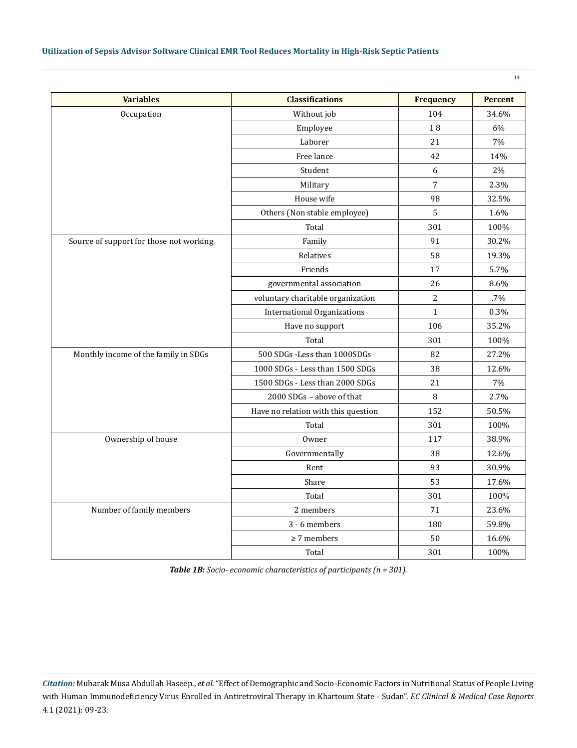# **Utilization of Sepsis Advisor Software Clinical EMR Tool Reduces Mortality in High-Risk Septic Patients**

| ٠ |
|---|
|---|

| <b>Variables</b>                        | <b>Classifications</b>              | <b>Frequency</b> | <b>Percent</b> |
|-----------------------------------------|-------------------------------------|------------------|----------------|
| Occupation                              | Without job                         | 104              | 34.6%          |
|                                         | Employee                            | 18               | 6%             |
|                                         | Laborer                             | 21               | 7%             |
|                                         | Free lance                          | 42               | 14%            |
|                                         | Student                             | 6                | 2%             |
|                                         | Military                            | $\overline{7}$   | 2.3%           |
|                                         | House wife                          | 98               | 32.5%          |
|                                         | Others (Non stable employee)        | 5                | 1.6%           |
|                                         | Total                               | 301              | 100%           |
| Source of support for those not working | Family                              | 91               | 30.2%          |
|                                         | Relatives                           | 58               | 19.3%          |
|                                         | Friends                             | 17               | 5.7%           |
|                                         | governmental association            | 26               | 8.6%           |
|                                         | voluntary charitable organization   | $\overline{c}$   | .7%            |
|                                         | <b>International Organizations</b>  | $\mathbf{1}$     | 0.3%           |
|                                         | Have no support                     | 106              | 35.2%          |
|                                         | Total                               | 301              | 100%           |
| Monthly income of the family in SDGs    | 500 SDGs -Less than 1000SDGs        | 82               | 27.2%          |
|                                         | 1000 SDGs - Less than 1500 SDGs     | 38               | 12.6%          |
|                                         | 1500 SDGs - Less than 2000 SDGs     | 21               | 7%             |
|                                         | 2000 SDGs - above of that           | 8                | 2.7%           |
|                                         | Have no relation with this question | 152              | 50.5%          |
|                                         | Total                               | 301              | 100%           |
| Ownership of house                      | Owner                               | 117              | 38.9%          |
|                                         | Governmentally                      | 38               | 12.6%          |
|                                         | Rent                                | 93               | 30.9%          |
|                                         | Share                               | 53               | 17.6%          |
|                                         | Total                               | 301              | 100%           |
| Number of family members                | 2 members                           | 71               | 23.6%          |
|                                         | 3 - 6 members                       | 180              | 59.8%          |
|                                         | $\geq$ 7 members                    | 50               | 16.6%          |
|                                         | Total                               | 301              | 100%           |

*Table 1B: Socio- economic characteristics of participants (n = 301).*

*Citation:* Mubarak Musa Abdullah Haseep., *et al*. "Effect of Demographic and Socio-Economic Factors in Nutritional Status of People Living with Human Immunodeficiency Virus Enrolled in Antiretroviral Therapy in Khartoum State - Sudan". *EC Clinical & Medical Case Reports*  4.1 (2021): 09-23.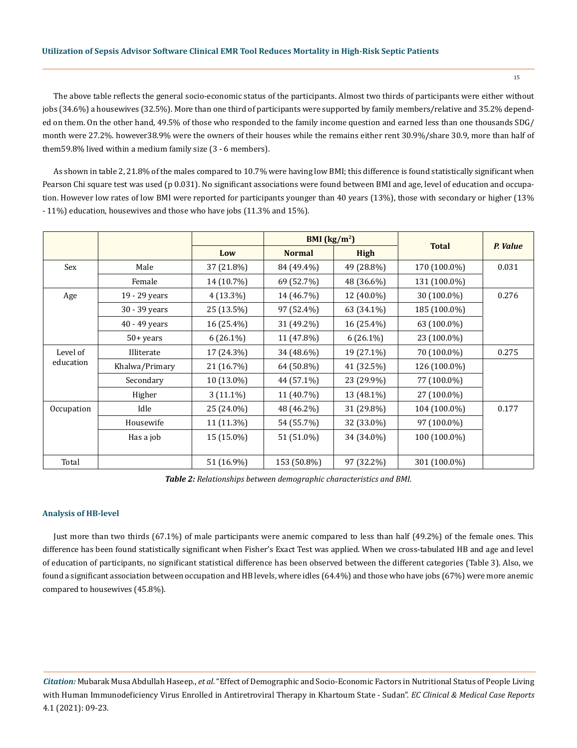#### **Utilization of Sepsis Advisor Software Clinical EMR Tool Reduces Mortality in High-Risk Septic Patients**

The above table reflects the general socio-economic status of the participants. Almost two thirds of participants were either without jobs (34.6%) a housewives (32.5%). More than one third of participants were supported by family members/relative and 35.2% depended on them. On the other hand, 49.5% of those who responded to the family income question and earned less than one thousands SDG/ month were 27.2%. however38.9% were the owners of their houses while the remains either rent 30.9%/share 30.9, more than half of them59.8% lived within a medium family size (3 - 6 members).

As shown in table 2, 21.8% of the males compared to 10.7% were having low BMI; this difference is found statistically significant when Pearson Chi square test was used (p 0.031). No significant associations were found between BMI and age, level of education and occupation. However low rates of low BMI were reported for participants younger than 40 years (13%), those with secondary or higher (13% - 11%) education, housewives and those who have jobs (11.3% and 15%).

|            |                |             | BMI $(kg/m2)$ |             | <b>Total</b> |          |
|------------|----------------|-------------|---------------|-------------|--------------|----------|
|            |                | Low         | <b>Normal</b> | <b>High</b> |              | P. Value |
| Sex        | Male           | 37 (21.8%)  | 84 (49.4%)    | 49 (28.8%)  | 170 (100.0%) | 0.031    |
|            | Female         | 14 (10.7%)  | 69 (52.7%)    | 48 (36.6%)  | 131 (100.0%) |          |
| Age        | 19 - 29 years  | $4(13.3\%)$ | 14 (46.7%)    | 12 (40.0%)  | 30 (100.0%)  | 0.276    |
|            | 30 - 39 years  | 25 (13.5%)  | 97 (52.4%)    | 63 (34.1%)  | 185 (100.0%) |          |
|            | 40 - 49 years  | 16 (25.4%)  | 31 (49.2%)    | 16 (25.4%)  | 63 (100.0%)  |          |
|            | $50 + years$   | $6(26.1\%)$ | 11 (47.8%)    | $6(26.1\%)$ | 23 (100.0%)  |          |
| Level of   | Illiterate     | 17 (24.3%)  | 34 (48.6%)    | 19 (27.1%)  | 70 (100.0%)  | 0.275    |
| education  | Khalwa/Primary | 21 (16.7%)  | 64 (50.8%)    | 41 (32.5%)  | 126 (100.0%) |          |
|            | Secondary      | 10 (13.0%)  | 44 (57.1%)    | 23 (29.9%)  | 77 (100.0%)  |          |
|            | Higher         | $3(11.1\%)$ | 11 (40.7%)    | 13 (48.1%)  | 27 (100.0%)  |          |
| Occupation | Idle           | 25 (24.0%)  | 48 (46.2%)    | 31 (29.8%)  | 104 (100.0%) | 0.177    |
|            | Housewife      | 11 (11.3%)  | 54 (55.7%)    | 32 (33.0%)  | 97 (100.0%)  |          |
|            | Has a job      | 15 (15.0%)  | 51 (51.0%)    | 34 (34.0%)  | 100 (100.0%) |          |
|            |                |             |               |             |              |          |
| Total      |                | 51 (16.9%)  | 153 (50.8%)   | 97 (32.2%)  | 301 (100.0%) |          |

*Table 2: Relationships between demographic characteristics and BMI.*

#### **Analysis of HB-level**

Just more than two thirds (67.1%) of male participants were anemic compared to less than half (49.2%) of the female ones. This difference has been found statistically significant when Fisher's Exact Test was applied. When we cross-tabulated HB and age and level of education of participants, no significant statistical difference has been observed between the different categories (Table 3). Also, we found a significant association between occupation and HB levels, where idles (64.4%) and those who have jobs (67%) were more anemic compared to housewives (45.8%).

*Citation:* Mubarak Musa Abdullah Haseep., *et al*. "Effect of Demographic and Socio-Economic Factors in Nutritional Status of People Living with Human Immunodeficiency Virus Enrolled in Antiretroviral Therapy in Khartoum State - Sudan". *EC Clinical & Medical Case Reports*  4.1 (2021): 09-23.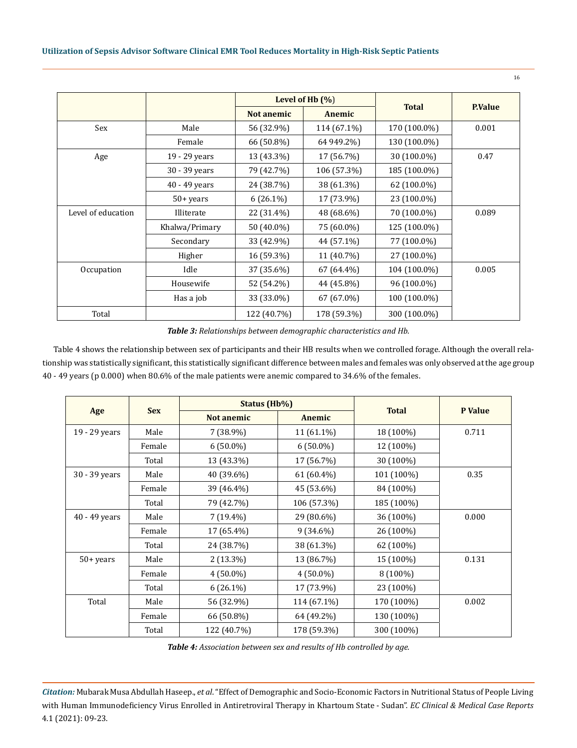|                    |                | Level of Hb $(\%)$ |             |              |                |
|--------------------|----------------|--------------------|-------------|--------------|----------------|
|                    |                | <b>Not anemic</b>  | Anemic      | <b>Total</b> | <b>P.Value</b> |
| Sex                | Male           | 56 (32.9%)         | 114 (67.1%) | 170 (100.0%) | 0.001          |
|                    | Female         | 66 (50.8%)         | 64 949.2%)  | 130 (100.0%) |                |
| Age                | 19 - 29 years  | 13 (43.3%)         | 17 (56.7%)  | 30 (100.0%)  | 0.47           |
|                    | 30 - 39 years  | 79 (42.7%)         | 106 (57.3%) | 185 (100.0%) |                |
|                    | 40 - 49 years  | 24 (38.7%)         | 38 (61.3%)  | 62 (100.0%)  |                |
|                    | $50 + years$   | $6(26.1\%)$        | 17 (73.9%)  | 23 (100.0%)  |                |
| Level of education | Illiterate     | 22 (31.4%)         | 48 (68.6%)  | 70 (100.0%)  | 0.089          |
|                    | Khalwa/Primary | 50 (40.0%)         | 75 (60.0%)  | 125 (100.0%) |                |
|                    | Secondary      | 33 (42.9%)         | 44 (57.1%)  | 77 (100.0%)  |                |
|                    | Higher         | 16 (59.3%)         | 11 (40.7%)  | 27 (100.0%)  |                |
| Occupation         | Idle           | 37 (35.6%)         | 67 (64.4%)  | 104 (100.0%) | 0.005          |
|                    | Housewife      | 52 (54.2%)         | 44 (45.8%)  | 96 (100.0%)  |                |
|                    | Has a job      | 33 (33.0%)         | 67 (67.0%)  | 100 (100.0%) |                |
| Total              |                | 122 (40.7%)        | 178 (59.3%) | 300 (100.0%) |                |

*Table 3: Relationships between demographic characteristics and Hb.*

Table 4 shows the relationship between sex of participants and their HB results when we controlled forage. Although the overall relationship was statistically significant, this statistically significant difference between males and females was only observed at the age group 40 - 49 years (p 0.000) when 80.6% of the male patients were anemic compared to 34.6% of the females.

|               | <b>Sex</b> | Status (Hb%)      |             |              | P Value |
|---------------|------------|-------------------|-------------|--------------|---------|
| Age           |            | <b>Not anemic</b> | Anemic      | <b>Total</b> |         |
| 19 - 29 years | Male       | 7 (38.9%)         | 11 (61.1%)  | 18 (100%)    | 0.711   |
|               | Female     | $6(50.0\%)$       | $6(50.0\%)$ | 12 (100%)    |         |
|               | Total      | 13 (43.3%)        | 17 (56.7%)  | 30 (100%)    |         |
| 30 - 39 years | Male       | 40 (39.6%)        | 61 (60.4%)  | 101 (100%)   | 0.35    |
|               | Female     | 39 (46.4%)        | 45 (53.6%)  | 84 (100%)    |         |
|               | Total      | 79 (42.7%)        | 106 (57.3%) | 185 (100%)   |         |
| 40 - 49 years | Male       | $7(19.4\%)$       | 29 (80.6%)  | 36 (100%)    | 0.000   |
|               | Female     | 17 (65.4%)        | $9(34.6\%)$ | 26 (100%)    |         |
|               | Total      | 24 (38.7%)        | 38 (61.3%)  | 62 (100%)    |         |
| $50+ years$   | Male       | $2(13.3\%)$       | 13 (86.7%)  | 15 (100%)    | 0.131   |
|               | Female     | $4(50.0\%)$       | $4(50.0\%)$ | $8(100\%)$   |         |
|               | Total      | $6(26.1\%)$       | 17 (73.9%)  | 23 (100%)    |         |
| Total         | Male       | 56 (32.9%)        | 114 (67.1%) | 170 (100%)   | 0.002   |
|               | Female     | 66 (50.8%)        | 64 (49.2%)  | 130 (100%)   |         |
|               | Total      | 122 (40.7%)       | 178 (59.3%) | 300 (100%)   |         |

*Table 4: Association between sex and results of Hb controlled by age.*

*Citation:* Mubarak Musa Abdullah Haseep., *et al*. "Effect of Demographic and Socio-Economic Factors in Nutritional Status of People Living with Human Immunodeficiency Virus Enrolled in Antiretroviral Therapy in Khartoum State - Sudan". *EC Clinical & Medical Case Reports*  4.1 (2021): 09-23.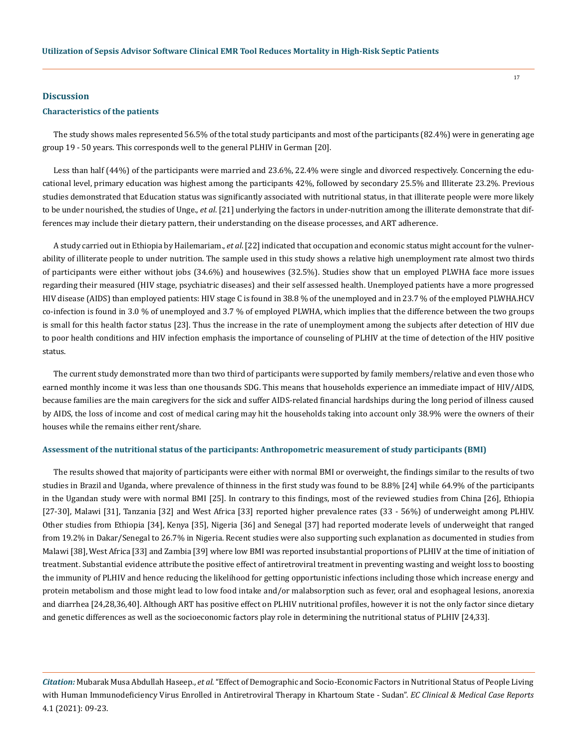#### **Discussion**

#### **Characteristics of the patients**

The study shows males represented 56.5% of the total study participants and most of the participants (82.4%) were in generating age group 19 - 50 years. This corresponds well to the general PLHIV in German [20].

Less than half (44%) of the participants were married and 23.6%, 22.4% were single and divorced respectively. Concerning the educational level, primary education was highest among the participants 42%, followed by secondary 25.5% and Illiterate 23.2%. Previous studies demonstrated that Education status was significantly associated with nutritional status, in that illiterate people were more likely to be under nourished, the studies of Unge., *et al*. [21] underlying the factors in under-nutrition among the illiterate demonstrate that differences may include their dietary pattern, their understanding on the disease processes, and ART adherence.

A study carried out in Ethiopia by Hailemariam., *et al*. [22] indicated that occupation and economic status might account for the vulnerability of illiterate people to under nutrition. The sample used in this study shows a relative high unemployment rate almost two thirds of participants were either without jobs (34.6%) and housewives (32.5%). Studies show that un employed PLWHA face more issues regarding their measured (HIV stage, psychiatric diseases) and their self assessed health. Unemployed patients have a more progressed HIV disease (AIDS) than employed patients: HIV stage C is found in 38.8 % of the unemployed and in 23.7 % of the employed PLWHA.HCV co-infection is found in 3.0 % of unemployed and 3.7 % of employed PLWHA, which implies that the difference between the two groups is small for this health factor status [23]. Thus the increase in the rate of unemployment among the subjects after detection of HIV due to poor health conditions and HIV infection emphasis the importance of counseling of PLHIV at the time of detection of the HIV positive status.

The current study demonstrated more than two third of participants were supported by family members/relative and even those who earned monthly income it was less than one thousands SDG. This means that households experience an immediate impact of HIV/AIDS, because families are the main caregivers for the sick and suffer AIDS-related financial hardships during the long period of illness caused by AIDS, the loss of income and cost of medical caring may hit the households taking into account only 38.9% were the owners of their houses while the remains either rent/share.

#### **Assessment of the nutritional status of the participants: Anthropometric measurement of study participants (BMI)**

The results showed that majority of participants were either with normal BMI or overweight, the findings similar to the results of two studies in Brazil and Uganda, where prevalence of thinness in the first study was found to be 8.8% [24] while 64.9% of the participants in the Ugandan study were with normal BMI [25]. In contrary to this findings, most of the reviewed studies from China [26], Ethiopia [27-30], Malawi [31], Tanzania [32] and West Africa [33] reported higher prevalence rates (33 - 56%) of underweight among PLHIV. Other studies from Ethiopia [34], Kenya [35], Nigeria [36] and Senegal [37] had reported moderate levels of underweight that ranged from 19.2% in Dakar/Senegal to 26.7% in Nigeria. Recent studies were also supporting such explanation as documented in studies from Malawi [38], West Africa [33] and Zambia [39] where low BMI was reported insubstantial proportions of PLHIV at the time of initiation of treatment. Substantial evidence attribute the positive effect of antiretroviral treatment in preventing wasting and weight loss to boosting the immunity of PLHIV and hence reducing the likelihood for getting opportunistic infections including those which increase energy and protein metabolism and those might lead to low food intake and/or malabsorption such as fever, oral and esophageal lesions, anorexia and diarrhea [24,28,36,40]. Although ART has positive effect on PLHIV nutritional profiles, however it is not the only factor since dietary and genetic differences as well as the socioeconomic factors play role in determining the nutritional status of PLHIV [24,33].

*Citation:* Mubarak Musa Abdullah Haseep., *et al*. "Effect of Demographic and Socio-Economic Factors in Nutritional Status of People Living with Human Immunodeficiency Virus Enrolled in Antiretroviral Therapy in Khartoum State - Sudan". *EC Clinical & Medical Case Reports*  4.1 (2021): 09-23.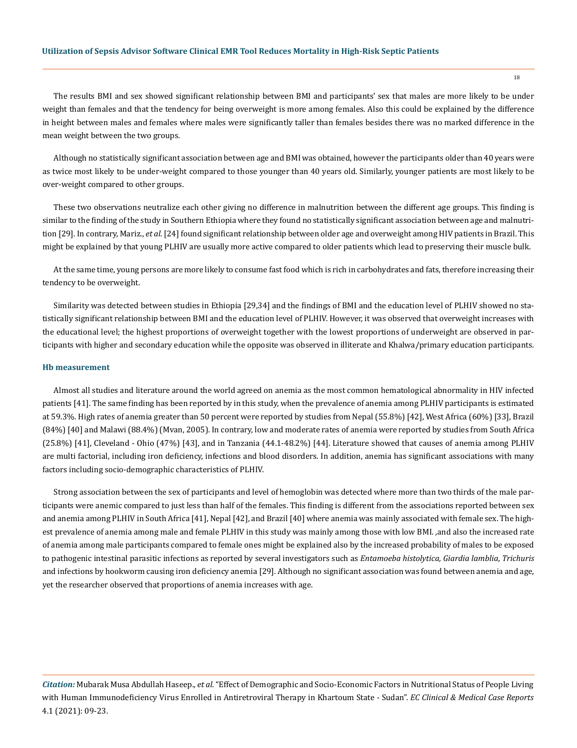The results BMI and sex showed significant relationship between BMI and participants' sex that males are more likely to be under weight than females and that the tendency for being overweight is more among females. Also this could be explained by the difference in height between males and females where males were significantly taller than females besides there was no marked difference in the mean weight between the two groups.

Although no statistically significant association between age and BMI was obtained, however the participants older than 40 years were as twice most likely to be under-weight compared to those younger than 40 years old. Similarly, younger patients are most likely to be over-weight compared to other groups.

These two observations neutralize each other giving no difference in malnutrition between the different age groups. This finding is similar to the finding of the study in Southern Ethiopia where they found no statistically significant association between age and malnutrition [29]. In contrary, Mariz., *et al*. [24] found significant relationship between older age and overweight among HIV patients in Brazil. This might be explained by that young PLHIV are usually more active compared to older patients which lead to preserving their muscle bulk.

At the same time, young persons are more likely to consume fast food which is rich in carbohydrates and fats, therefore increasing their tendency to be overweight.

Similarity was detected between studies in Ethiopia [29,34] and the findings of BMI and the education level of PLHIV showed no statistically significant relationship between BMI and the education level of PLHIV. However, it was observed that overweight increases with the educational level; the highest proportions of overweight together with the lowest proportions of underweight are observed in participants with higher and secondary education while the opposite was observed in illiterate and Khalwa/primary education participants.

#### **Hb measurement**

Almost all studies and literature around the world agreed on anemia as the most common hematological abnormality in HIV infected patients [41]. The same finding has been reported by in this study, when the prevalence of anemia among PLHIV participants is estimated at 59.3%. High rates of anemia greater than 50 percent were reported by studies from Nepal (55.8%) [42], West Africa (60%) [33], Brazil (84%) [40] and Malawi (88.4%) (Mvan, 2005). In contrary, low and moderate rates of anemia were reported by studies from South Africa (25.8%) [41], Cleveland - Ohio (47%) [43], and in Tanzania (44.1-48.2%) [44]. Literature showed that causes of anemia among PLHIV are multi factorial, including iron deficiency, infections and blood disorders. In addition, anemia has significant associations with many factors including socio-demographic characteristics of PLHIV.

Strong association between the sex of participants and level of hemoglobin was detected where more than two thirds of the male participants were anemic compared to just less than half of the females. This finding is different from the associations reported between sex and anemia among PLHIV in South Africa [41], Nepal [42], and Brazil [40] where anemia was mainly associated with female sex. The highest prevalence of anemia among male and female PLHIV in this study was mainly among those with low BMI. ,and also the increased rate of anemia among male participants compared to female ones might be explained also by the increased probability of males to be exposed to pathogenic intestinal parasitic infections as reported by several investigators such as *Entamoeba histolytica, Giardia lamblia*, *Trichuris* and infections by hookworm causing iron deficiency anemia [29]. Although no significant association was found between anemia and age, yet the researcher observed that proportions of anemia increases with age.

*Citation:* Mubarak Musa Abdullah Haseep., *et al*. "Effect of Demographic and Socio-Economic Factors in Nutritional Status of People Living with Human Immunodeficiency Virus Enrolled in Antiretroviral Therapy in Khartoum State - Sudan". *EC Clinical & Medical Case Reports*  4.1 (2021): 09-23.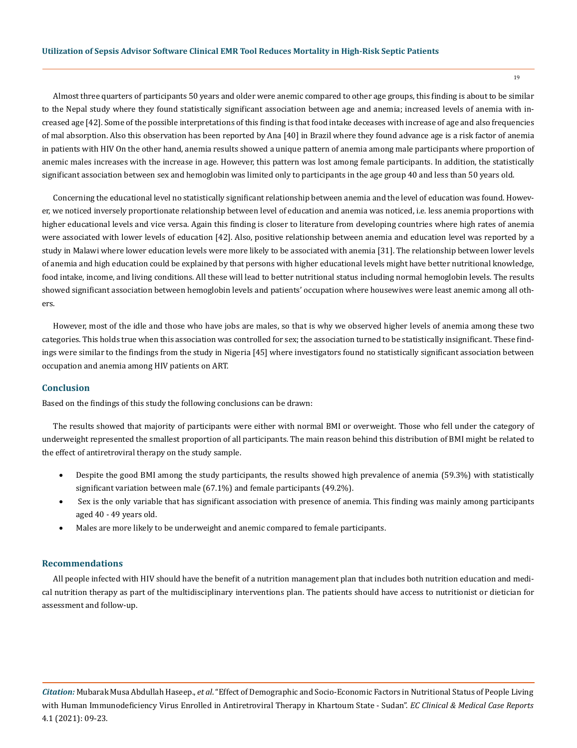Almost three quarters of participants 50 years and older were anemic compared to other age groups, this finding is about to be similar to the Nepal study where they found statistically significant association between age and anemia; increased levels of anemia with increased age [42]. Some of the possible interpretations of this finding is that food intake deceases with increase of age and also frequencies of mal absorption. Also this observation has been reported by Ana [40] in Brazil where they found advance age is a risk factor of anemia in patients with HIV On the other hand, anemia results showed a unique pattern of anemia among male participants where proportion of anemic males increases with the increase in age. However, this pattern was lost among female participants. In addition, the statistically significant association between sex and hemoglobin was limited only to participants in the age group 40 and less than 50 years old.

Concerning the educational level no statistically significant relationship between anemia and the level of education was found. However, we noticed inversely proportionate relationship between level of education and anemia was noticed, i.e. less anemia proportions with higher educational levels and vice versa. Again this finding is closer to literature from developing countries where high rates of anemia were associated with lower levels of education [42]. Also, positive relationship between anemia and education level was reported by a study in Malawi where lower education levels were more likely to be associated with anemia [31]. The relationship between lower levels of anemia and high education could be explained by that persons with higher educational levels might have better nutritional knowledge, food intake, income, and living conditions. All these will lead to better nutritional status including normal hemoglobin levels. The results showed significant association between hemoglobin levels and patients' occupation where housewives were least anemic among all others.

However, most of the idle and those who have jobs are males, so that is why we observed higher levels of anemia among these two categories. This holds true when this association was controlled for sex; the association turned to be statistically insignificant. These findings were similar to the findings from the study in Nigeria [45] where investigators found no statistically significant association between occupation and anemia among HIV patients on ART.

#### **Conclusion**

Based on the findings of this study the following conclusions can be drawn:

The results showed that majority of participants were either with normal BMI or overweight. Those who fell under the category of underweight represented the smallest proportion of all participants. The main reason behind this distribution of BMI might be related to the effect of antiretroviral therapy on the study sample.

- Despite the good BMI among the study participants, the results showed high prevalence of anemia (59.3%) with statistically significant variation between male (67.1%) and female participants (49.2%).
- Sex is the only variable that has significant association with presence of anemia. This finding was mainly among participants aged 40 - 49 years old.
- Males are more likely to be underweight and anemic compared to female participants.

# **Recommendations**

All people infected with HIV should have the benefit of a nutrition management plan that includes both nutrition education and medical nutrition therapy as part of the multidisciplinary interventions plan. The patients should have access to nutritionist or dietician for assessment and follow-up.

*Citation:* Mubarak Musa Abdullah Haseep., *et al*. "Effect of Demographic and Socio-Economic Factors in Nutritional Status of People Living with Human Immunodeficiency Virus Enrolled in Antiretroviral Therapy in Khartoum State - Sudan". *EC Clinical & Medical Case Reports*  4.1 (2021): 09-23.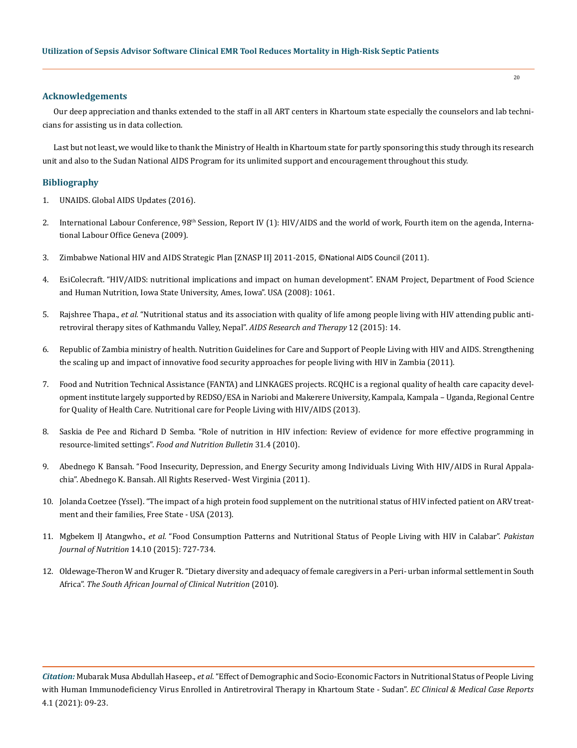### **Acknowledgements**

Our deep appreciation and thanks extended to the staff in all ART centers in Khartoum state especially the counselors and lab technicians for assisting us in data collection.

Last but not least, we would like to thank the Ministry of Health in Khartoum state for partly sponsoring this study through its research unit and also to the Sudan National AIDS Program for its unlimited support and encouragement throughout this study.

# **Bibliography**

- 1. UNAIDS. Global AIDS Updates (2016).
- 2. International Labour Conference,  $98<sup>th</sup>$  Session, Report IV (1): HIV/AIDS and the world of work, Fourth item on the agenda, International Labour Office Geneva (2009).
- 3. Zimbabwe National HIV and AIDS Strategic Plan [ZNASP II] 2011-2015, ©National AIDS Council (2011).
- 4. [EsiColecraft. "HIV/AIDS: nutritional implications and impact on human development". ENAM Project, Department of Food Science](https://pubmed.ncbi.nlm.nih.gov/18234139/)  [and Human Nutrition, Iowa State University, Ames, Iowa". USA \(2008\): 1061.](https://pubmed.ncbi.nlm.nih.gov/18234139/)
- 5. Rajshree Thapa., *et al.* ["Nutritional status and its association with quality of life among people living with HIV attending public anti](https://www.ncbi.nlm.nih.gov/pmc/articles/PMC4417539/)[retroviral therapy sites of Kathmandu Valley, Nepal".](https://www.ncbi.nlm.nih.gov/pmc/articles/PMC4417539/) *AIDS Research and Therapy* 12 (2015): 14.
- 6. Republic of Zambia ministry of health. Nutrition Guidelines for Care and Support of People Living with HIV and AIDS. Strengthening the scaling up and impact of innovative food security approaches for people living with HIV in Zambia (2011).
- 7. Food and Nutrition Technical Assistance (FANTA) and LINKAGES projects. RCQHC is a regional quality of health care capacity development institute largely supported by REDSO/ESA in Nariobi and Makerere University, Kampala, Kampala – Uganda, Regional Centre for Quality of Health Care. Nutritional care for People Living with HIV/AIDS (2013).
- 8. [Saskia de Pee and Richard D Semba. "Role of nutrition in HIV infection: Review of evidence for more effective programming in](https://journals.sagepub.com/doi/abs/10.1177/15648265100314S403)  resource-limited settings". *[Food and Nutrition Bulletin](https://journals.sagepub.com/doi/abs/10.1177/15648265100314S403)* 31.4 (2010).
- 9. [Abednego K Bansah. "Food Insecurity, Depression, and Energy Security among Individuals Living With HIV/AIDS in Rural Appala](https://www.researchgate.net/publication/263748217_Food_Insecurity_Is_Associated_with_Depression_among_Individuals_Living_with_HIVAIDS_in_Rural_Appalachia)[chia". Abednego K. Bansah. All Rights Reserved- West Virginia \(2011\).](https://www.researchgate.net/publication/263748217_Food_Insecurity_Is_Associated_with_Depression_among_Individuals_Living_with_HIVAIDS_in_Rural_Appalachia)
- 10. Jolanda Coetzee (Yssel). "The impact of a high protein food supplement on the nutritional status of HIV infected patient on ARV treatment and their families, Free State - USA (2013).
- 11. Mgbekem IJ Atangwho., *et al.* ["Food Consumption Patterns and Nutritional Status of People Living with HIV in Calabar".](https://www.researchgate.net/publication/282427578_Food_Consumption_Patterns_and_Nutritional_Status_of_People_Living_with_HIV_in_Calabar) *Pakistan Journal of Nutrition* [14.10 \(2015\): 727-734.](https://www.researchgate.net/publication/282427578_Food_Consumption_Patterns_and_Nutritional_Status_of_People_Living_with_HIV_in_Calabar)
- 12. [Oldewage-Theron W and Kruger R. "Dietary diversity and adequacy of female caregivers in a Peri- urban informal settlement in South](https://pubmed.ncbi.nlm.nih.gov/20688475/)  Africa". *[The South African Journal of Clinical Nutrition](https://pubmed.ncbi.nlm.nih.gov/20688475/)* (2010).

*Citation:* Mubarak Musa Abdullah Haseep., *et al*. "Effect of Demographic and Socio-Economic Factors in Nutritional Status of People Living with Human Immunodeficiency Virus Enrolled in Antiretroviral Therapy in Khartoum State - Sudan". *EC Clinical & Medical Case Reports*  4.1 (2021): 09-23.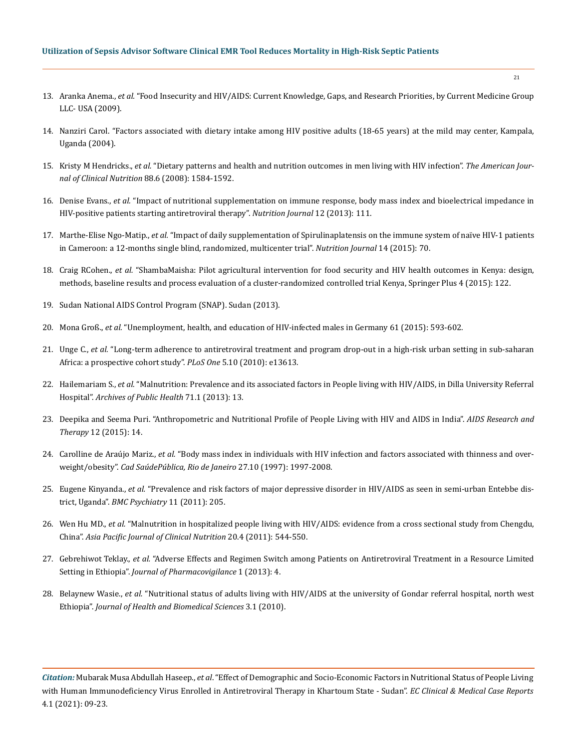- 13. Aranka Anema., *et al.* ["Food Insecurity and HIV/AIDS: Current Knowledge, Gaps, and Research Priorities, by Current Medicine Group](https://www.ncbi.nlm.nih.gov/pmc/articles/PMC5917641/)  [LLC- USA \(2009\).](https://www.ncbi.nlm.nih.gov/pmc/articles/PMC5917641/)
- 14. [Nanziri Carol. "Factors associated with dietary intake among HIV positive adults \(18-65 years\) at the mild may center, Kampala,](http://makir.mak.ac.ug/handle/10570/2201)  [Uganda \(2004\).](http://makir.mak.ac.ug/handle/10570/2201)
- 15. Kristy M Hendricks., *et al.* ["Dietary patterns and health and nutrition outcomes in men living with HIV infection".](https://www.ncbi.nlm.nih.gov/pmc/articles/PMC2735882/) *The American Jour[nal of Clinical Nutrition](https://www.ncbi.nlm.nih.gov/pmc/articles/PMC2735882/)* 88.6 (2008): 1584-1592.
- 16. Denise Evans., *et al.* ["Impact of nutritional supplementation on immune response, body mass index and bioelectrical impedance in](https://pubmed.ncbi.nlm.nih.gov/23919622/)  [HIV-positive patients starting antiretroviral therapy".](https://pubmed.ncbi.nlm.nih.gov/23919622/) *Nutrition Journal* 12 (2013): 111.
- 17. Marthe-Elise Ngo-Matip., *et al.* ["Impact of daily supplementation of Spirulinaplatensis on the immune system of naïve HIV-1 patients](https://www.ncbi.nlm.nih.gov/pmc/articles/PMC4508814/)  [in Cameroon: a 12-months single blind, randomized, multicenter trial".](https://www.ncbi.nlm.nih.gov/pmc/articles/PMC4508814/) *Nutrition Journal* 14 (2015): 70.
- 18. Craig RCohen., *et al.* ["ShambaMaisha: Pilot agricultural intervention for food security and HIV health outcomes in Kenya: design,](https://springerplus.springeropen.com/articles/10.1186/s40064-015-0886-x)  [methods, baseline results and process evaluation of a cluster-randomized controlled trial Kenya, Springer Plus 4 \(2015\): 122.](https://springerplus.springeropen.com/articles/10.1186/s40064-015-0886-x)
- 19. Sudan National AIDS Control Program (SNAP). Sudan (2013).
- 20. Mona Groß., *et al.* ["Unemployment, health, and education of HIV-infected males in Germany 61 \(2015\): 593-602.](https://pubmed.ncbi.nlm.nih.gov/26427862/)
- 21. Unge C., *et al.* ["Long-term adherence to antiretroviral treatment and program drop-out in a high-risk urban setting in sub-saharan](https://www.ncbi.nlm.nih.gov/pmc/articles/PMC2963610/)  [Africa: a prospective cohort study".](https://www.ncbi.nlm.nih.gov/pmc/articles/PMC2963610/) *PLoS One* 5.10 (2010): e13613.
- 22. Hailemariam S., *et al.* ["Malnutrition: Prevalence and its associated factors in People living with HIV/AIDS, in Dilla University Referral](https://www.ncbi.nlm.nih.gov/pmc/articles/PMC3683321/)  Hospital". *[Archives of Public Health](https://www.ncbi.nlm.nih.gov/pmc/articles/PMC3683321/)* 71.1 (2013): 13.
- 23. [Deepika and Seema Puri. "Anthropometric and Nutritional Profile of People Living with HIV and AIDS in India".](https://www.ncbi.nlm.nih.gov/pmc/articles/PMC4134532/) *AIDS Research and Therapy* [12 \(2015\): 14.](https://www.ncbi.nlm.nih.gov/pmc/articles/PMC4134532/)
- 24. Carolline de Araújo Mariz., *et al.* ["Body mass index in individuals with HIV infection and factors associated with thinness and over](https://pubmed.ncbi.nlm.nih.gov/22031204/)weight/obesity". *[Cad SaúdePública, Rio de Janeiro](https://pubmed.ncbi.nlm.nih.gov/22031204/)* 27.10 (1997): 1997-2008.
- 25. Eugene Kinyanda., *et al.* ["Prevalence and risk factors of major depressive disorder in HIV/AIDS as seen in semi-urban Entebbe dis](https://www.researchgate.net/publication/51971948_Prevalence_and_risk_factors_of_major_depressive_disorder_in_HIVAIDS_as_seen_in_semi-urban_Entebbe_district_Uganda)trict, Uganda". *[BMC Psychiatry](https://www.researchgate.net/publication/51971948_Prevalence_and_risk_factors_of_major_depressive_disorder_in_HIVAIDS_as_seen_in_semi-urban_Entebbe_district_Uganda)* 11 (2011): 205.
- 26. Wen Hu MD., *et al.* ["Malnutrition in hospitalized people living with HIV/AIDS: evidence from a cross sectional study from Chengdu,](https://pubmed.ncbi.nlm.nih.gov/22094839/)  China". *[Asia Pacific Journal of Clinical Nutrition](https://pubmed.ncbi.nlm.nih.gov/22094839/)* 20.4 (2011): 544-550.
- 27. Gebrehiwot Teklay., *et al.* ["Adverse Effects and Regimen Switch among Patients on Antiretroviral Treatment in a Resource Limited](https://www.researchgate.net/publication/260096835_Adverse_Effects_and_Regimen_Switch_among_Patients_on_Antiretroviral_Treatment_in_a_Resource_Limited_Setting_in_Ethiopia)  Setting in Ethiopia". *[Journal of Pharmacovigilance](https://www.researchgate.net/publication/260096835_Adverse_Effects_and_Regimen_Switch_among_Patients_on_Antiretroviral_Treatment_in_a_Resource_Limited_Setting_in_Ethiopia)* 1 (2013): 4.
- 28. Belaynew Wasie., *et al.* ["Nutritional status of adults living with HIV/AIDS at the university of Gondar referral hospital, north west](https://www.semanticscholar.org/paper/NUTRITIONAL-STATUS-OF-ADULTS-LIVING-WITH-HIV%2FAIDS-Wasie-Kebede/505a3e5e59ca388f0058e0bb6171ad332a109856)  Ethiopia". *[Journal of Health and Biomedical Sciences](https://www.semanticscholar.org/paper/NUTRITIONAL-STATUS-OF-ADULTS-LIVING-WITH-HIV%2FAIDS-Wasie-Kebede/505a3e5e59ca388f0058e0bb6171ad332a109856)* 3.1 (2010).

*Citation:* Mubarak Musa Abdullah Haseep., *et al*. "Effect of Demographic and Socio-Economic Factors in Nutritional Status of People Living with Human Immunodeficiency Virus Enrolled in Antiretroviral Therapy in Khartoum State - Sudan". *EC Clinical & Medical Case Reports*  4.1 (2021): 09-23.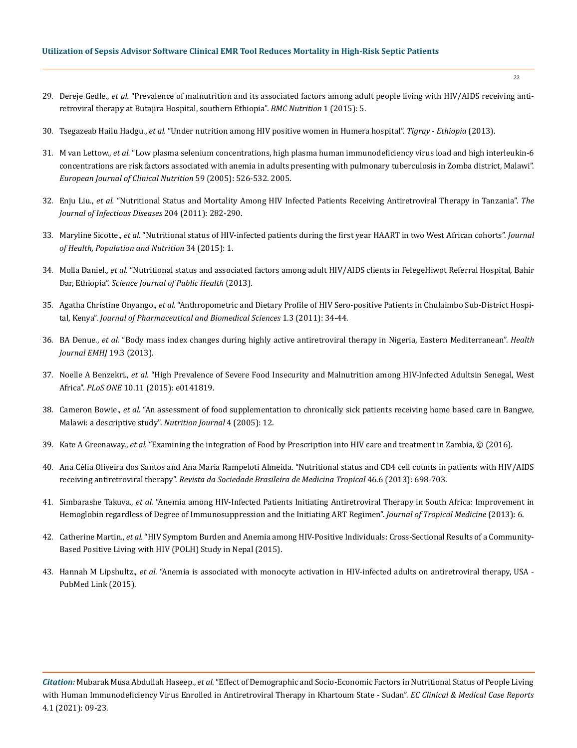- 29. Dereje Gedle., *et al.* ["Prevalence of malnutrition and its associated factors among adult people living with HIV/AIDS receiving anti](https://www.ncbi.nlm.nih.gov/pmc/articles/PMC7067416/)[retroviral therapy at Butajira Hospital, southern Ethiopia".](https://www.ncbi.nlm.nih.gov/pmc/articles/PMC7067416/) *BMC Nutrition* 1 (2015): 5.
- 30. Tsegazeab Hailu Hadgu., *et al.* ["Under nutrition among HIV positive women in Humera hospital".](https://www.ncbi.nlm.nih.gov/pmc/articles/PMC3852443/) *Tigray Ethiopia* (2013).
- 31. M van Lettow., *et al.* ["Low plasma selenium concentrations, high plasma human immunodeficiency virus load and high interleukin-6](https://pubmed.ncbi.nlm.nih.gov/15741985/)  [concentrations are risk factors associated with anemia in adults presenting with pulmonary tuberculosis in Zomba district, Malawi".](https://pubmed.ncbi.nlm.nih.gov/15741985/)  *[European Journal of Clinical Nutrition](https://pubmed.ncbi.nlm.nih.gov/15741985/)* 59 (2005): 526-532. 2005.
- 32. Enju Liu., *et al.* ["Nutritional Status and Mortality Among HIV Infected Patients Receiving Antiretroviral Therapy in Tanzania".](https://academic.oup.com/jid/article/204/2/282/834578) *The [Journal of Infectious Diseases](https://academic.oup.com/jid/article/204/2/282/834578)* 204 (2011): 282-290.
- 33. Maryline Sicotte., *et al.* ["Nutritional status of HIV-infected patients during the first year HAART in two West African cohorts".](https://jhpn.biomedcentral.com/articles/10.1186/s41043-015-0001-5) *Journal [of Health, Population and Nutrition](https://jhpn.biomedcentral.com/articles/10.1186/s41043-015-0001-5)* 34 (2015): 1.
- 34. Molla Daniel., *et al.* ["Nutritional status and associated factors among adult HIV/AIDS clients in FelegeHiwot Referral Hospital, Bahir](https://www.researchgate.net/publication/260693384_Nutritional_Status_and_Associated_Factors_Among_Adult_HIVAIDS_Clients_in_Felege_Hiwot_Referral_Hospital_Bahir_Dar_Ethiopia)  Dar, Ethiopia". *[Science Journal of Public Health](https://www.researchgate.net/publication/260693384_Nutritional_Status_and_Associated_Factors_Among_Adult_HIVAIDS_Clients_in_Felege_Hiwot_Referral_Hospital_Bahir_Dar_Ethiopia)* (2013).
- 35. Agatha Christine Onyango., *et al*[. "Anthropometric and Dietary Profile of HIV Sero-positive Patients in Chulaimbo Sub-District Hospi](https://www.researchgate.net/publication/260591521_Anthropometric_and_Dietary_Profile_of_HIV_Sero-positive_Patients_in_Chulaimbo_Sub-District_Hospital_Kenya)tal, Kenya". *[Journal of Pharmaceutical and Biomedical Sciences](https://www.researchgate.net/publication/260591521_Anthropometric_and_Dietary_Profile_of_HIV_Sero-positive_Patients_in_Chulaimbo_Sub-District_Hospital_Kenya)* 1.3 (2011): 34-44.
- 36. BA Denue., *et al.* ["Body mass index changes during highly active antiretroviral therapy in Nigeria, Eastern Mediterranean".](https://europepmc.org/article/med/24995767) *Health [Journal EMHJ](https://europepmc.org/article/med/24995767)* 19.3 (2013).
- 37. Noelle A Benzekri., *et al.* ["High Prevalence of Severe Food Insecurity and Malnutrition among HIV-Infected Adultsin Senegal, West](https://www.ncbi.nlm.nih.gov/pmc/articles/PMC4631507/)  Africa". *PLoS ONE* [10.11 \(2015\): e0141819.](https://www.ncbi.nlm.nih.gov/pmc/articles/PMC4631507/)
- 38. Cameron Bowie., *et al.* ["An assessment of food supplementation to chronically sick patients receiving home based care in Bangwe,](https://nutritionj.biomedcentral.com/articles/10.1186/1475-2891-4-12)  [Malawi: a descriptive study".](https://nutritionj.biomedcentral.com/articles/10.1186/1475-2891-4-12) *Nutrition Journal* 4 (2005): 12.
- 39. Kate A Greenaway., *et al.* ["Examining the integration of Food by Prescription into HIV care and treatment in Zambia, © \(2016\).](https://www.ennonline.net/fex/42/examining)
- 40. [Ana Célia Oliveira dos Santos and Ana Maria Rampeloti Almeida. "Nutritional status and CD4 cell counts in patients with HIV/AIDS](https://www.scielo.br/scielo.php?pid=S0037-86822013000600698&script=sci_arttext&tlng=en)  receiving antiretroviral therapy". *[Revista da Sociedade Brasileira de Medicina Tropical](https://www.scielo.br/scielo.php?pid=S0037-86822013000600698&script=sci_arttext&tlng=en)* 46.6 (2013): 698-703.
- 41. Simbarashe Takuva., *et al.* ["Anemia among HIV-Infected Patients Initiating Antiretroviral Therapy in South Africa: Improvement in](https://pubmed.ncbi.nlm.nih.gov/24069036/)  [Hemoglobin regardless of Degree of Immunosuppression and the Initiating ART Regimen".](https://pubmed.ncbi.nlm.nih.gov/24069036/) *Journal of Tropical Medicine* (2013): 6.
- 42. Catherine Martin., *et al.* ["HIV Symptom Burden and Anemia among HIV-Positive Individuals: Cross-Sectional Results of a Community-](https://www.ncbi.nlm.nih.gov/pmc/articles/PMC4281119/)[Based Positive Living with HIV \(POLH\) Study in Nepal \(2015\).](https://www.ncbi.nlm.nih.gov/pmc/articles/PMC4281119/)
- 43. Hannah M Lipshultz., *et al.* ["Anemia is associated with monocyte activation in HIV-infected adults on antiretroviral therapy, USA](https://pubmed.ncbi.nlm.nih.gov/25668820/)  [PubMed Link \(2015\).](https://pubmed.ncbi.nlm.nih.gov/25668820/)

*Citation:* Mubarak Musa Abdullah Haseep., *et al*. "Effect of Demographic and Socio-Economic Factors in Nutritional Status of People Living with Human Immunodeficiency Virus Enrolled in Antiretroviral Therapy in Khartoum State - Sudan". *EC Clinical & Medical Case Reports*  4.1 (2021): 09-23.